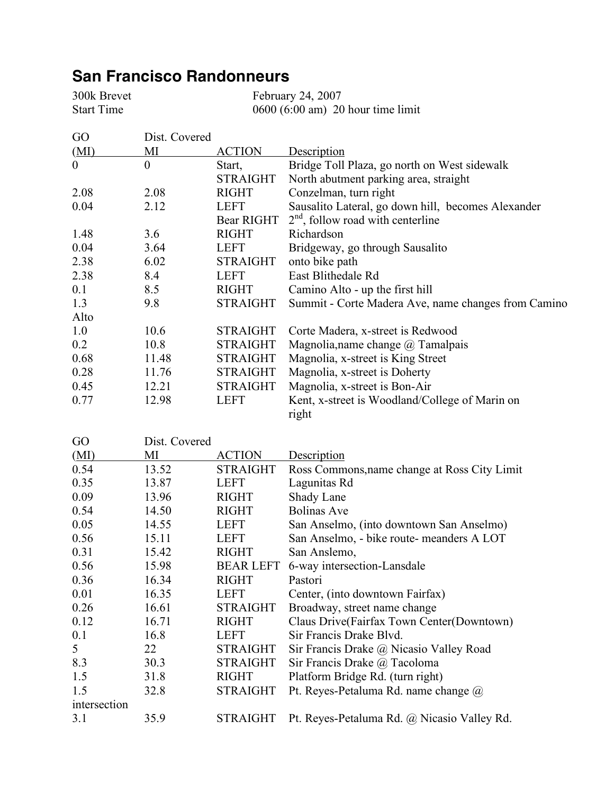## **San Francisco Randonneurs**

300k Brevet February 24, 2007 Start Time 0600 (6:00 am) 20 hour time limit

| GO               | Dist. Covered |                  |                                                     |
|------------------|---------------|------------------|-----------------------------------------------------|
| (MI)             | MI            | <b>ACTION</b>    | Description                                         |
| $\boldsymbol{0}$ | $\theta$      | Start,           | Bridge Toll Plaza, go north on West sidewalk        |
|                  |               | <b>STRAIGHT</b>  | North abutment parking area, straight               |
| 2.08             | 2.08          | <b>RIGHT</b>     | Conzelman, turn right                               |
| 0.04             | 2.12          | <b>LEFT</b>      | Sausalito Lateral, go down hill, becomes Alexander  |
|                  |               | Bear RIGHT       | $2nd$ , follow road with centerline                 |
| 1.48             | 3.6           | <b>RIGHT</b>     | Richardson                                          |
| 0.04             | 3.64          | <b>LEFT</b>      | Bridgeway, go through Sausalito                     |
| 2.38             | 6.02          | <b>STRAIGHT</b>  | onto bike path                                      |
| 2.38             | 8.4           | <b>LEFT</b>      | East Blithedale Rd                                  |
| 0.1              | 8.5           | <b>RIGHT</b>     | Camino Alto - up the first hill                     |
| 1.3              | 9.8           | <b>STRAIGHT</b>  | Summit - Corte Madera Ave, name changes from Camino |
| Alto             |               |                  |                                                     |
| 1.0              | 10.6          | <b>STRAIGHT</b>  | Corte Madera, x-street is Redwood                   |
| 0.2              | 10.8          | <b>STRAIGHT</b>  | Magnolia, name change $\omega$ Tamalpais            |
| 0.68             | 11.48         | <b>STRAIGHT</b>  | Magnolia, x-street is King Street                   |
| 0.28             | 11.76         | <b>STRAIGHT</b>  | Magnolia, x-street is Doherty                       |
| 0.45             | 12.21         | <b>STRAIGHT</b>  | Magnolia, x-street is Bon-Air                       |
| 0.77             | 12.98         | <b>LEFT</b>      | Kent, x-street is Woodland/College of Marin on      |
|                  |               |                  | right                                               |
| GO               | Dist. Covered |                  |                                                     |
| (MI)             | MI            | <b>ACTION</b>    | <b>Description</b>                                  |
| 0.54             | 13.52         | <b>STRAIGHT</b>  | Ross Commons, name change at Ross City Limit        |
| 0.35             | 13.87         | <b>LEFT</b>      | Lagunitas Rd                                        |
| 0.09             | 13.96         | <b>RIGHT</b>     | Shady Lane                                          |
| 0.54             | 14.50         | <b>RIGHT</b>     | <b>Bolinas Ave</b>                                  |
| 0.05             | 14.55         | LEFT             | San Anselmo, (into downtown San Anselmo)            |
| 0.56             | 15.11         | <b>LEFT</b>      | San Anselmo, - bike route- meanders A LOT           |
| 0.31             | 15.42         | <b>RIGHT</b>     | San Anslemo,                                        |
| 0.56             | 15.98         | <b>BEAR LEFT</b> | 6-way intersection-Lansdale                         |
| 0.36             | 16.34         | <b>RIGHT</b>     | Pastori                                             |
| 0.01             | 16.35         | LEFT             | Center, (into downtown Fairfax)                     |
| 0.26             | 16.61         | <b>STRAIGHT</b>  | Broadway, street name change                        |
| 0.12             | 16.71         | <b>RIGHT</b>     | Claus Drive(Fairfax Town Center(Downtown)           |
| 0.1              | 16.8          | <b>LEFT</b>      | Sir Francis Drake Blvd.                             |
| 5                | 22            | <b>STRAIGHT</b>  | Sir Francis Drake @ Nicasio Valley Road             |
| 8.3              | 30.3          | <b>STRAIGHT</b>  | Sir Francis Drake @ Tacoloma                        |
| 1.5              | 31.8          | <b>RIGHT</b>     | Platform Bridge Rd. (turn right)                    |
| 1.5              | 32.8          | <b>STRAIGHT</b>  | Pt. Reyes-Petaluma Rd. name change @                |
| intersection     |               |                  |                                                     |
| 3.1              | 35.9          | <b>STRAIGHT</b>  | Pt. Reyes-Petaluma Rd. @ Nicasio Valley Rd.         |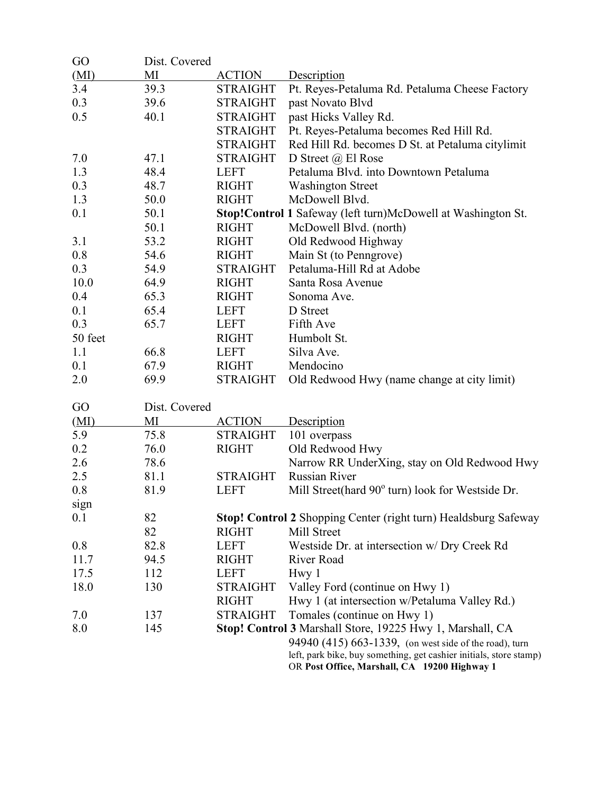| GO      | Dist. Covered |                 |                                                                                                                              |
|---------|---------------|-----------------|------------------------------------------------------------------------------------------------------------------------------|
| (MI)    | MI            | <b>ACTION</b>   | Description                                                                                                                  |
| 3.4     | 39.3          | <b>STRAIGHT</b> | Pt. Reyes-Petaluma Rd. Petaluma Cheese Factory                                                                               |
| 0.3     | 39.6          | <b>STRAIGHT</b> | past Novato Blvd                                                                                                             |
| 0.5     | 40.1          | <b>STRAIGHT</b> | past Hicks Valley Rd.                                                                                                        |
|         |               | <b>STRAIGHT</b> | Pt. Reyes-Petaluma becomes Red Hill Rd.                                                                                      |
|         |               | <b>STRAIGHT</b> | Red Hill Rd. becomes D St. at Petaluma citylimit                                                                             |
| 7.0     | 47.1          | <b>STRAIGHT</b> | D Street $@$ El Rose                                                                                                         |
| 1.3     | 48.4          | <b>LEFT</b>     | Petaluma Blvd. into Downtown Petaluma                                                                                        |
| 0.3     | 48.7          | <b>RIGHT</b>    | <b>Washington Street</b>                                                                                                     |
| 1.3     | 50.0          | <b>RIGHT</b>    | McDowell Blvd.                                                                                                               |
| 0.1     | 50.1          |                 | Stop!Control 1 Safeway (left turn)McDowell at Washington St.                                                                 |
|         | 50.1          | <b>RIGHT</b>    | McDowell Blvd. (north)                                                                                                       |
| 3.1     | 53.2          | <b>RIGHT</b>    | Old Redwood Highway                                                                                                          |
| 0.8     | 54.6          | <b>RIGHT</b>    | Main St (to Penngrove)                                                                                                       |
| 0.3     | 54.9          | <b>STRAIGHT</b> | Petaluma-Hill Rd at Adobe                                                                                                    |
| 10.0    | 64.9          | <b>RIGHT</b>    | Santa Rosa Avenue                                                                                                            |
| 0.4     | 65.3          | <b>RIGHT</b>    | Sonoma Ave.                                                                                                                  |
| 0.1     | 65.4          | <b>LEFT</b>     | D Street                                                                                                                     |
| 0.3     | 65.7          | <b>LEFT</b>     | Fifth Ave                                                                                                                    |
| 50 feet |               | <b>RIGHT</b>    | Humbolt St.                                                                                                                  |
| 1.1     | 66.8          | <b>LEFT</b>     | Silva Ave.                                                                                                                   |
| 0.1     | 67.9          | <b>RIGHT</b>    | Mendocino                                                                                                                    |
| 2.0     | 69.9          | <b>STRAIGHT</b> | Old Redwood Hwy (name change at city limit)                                                                                  |
| GO      | Dist. Covered |                 |                                                                                                                              |
| (MI)    | MI            | <b>ACTION</b>   | Description                                                                                                                  |
| 5.9     | 75.8          | <b>STRAIGHT</b> | 101 overpass                                                                                                                 |
| 0.2     | 76.0          | <b>RIGHT</b>    | Old Redwood Hwy                                                                                                              |
| 2.6     | 78.6          |                 | Narrow RR UnderXing, stay on Old Redwood Hwy                                                                                 |
| 2.5     | 81.1          | <b>STRAIGHT</b> | <b>Russian River</b>                                                                                                         |
| 0.8     | 81.9          | <b>LEFT</b>     | Mill Street(hard 90° turn) look for Westside Dr.                                                                             |
| sign    |               |                 |                                                                                                                              |
| 0.1     | 82            |                 | <b>Stop! Control 2 Shopping Center (right turn) Healdsburg Safeway</b>                                                       |
|         | 82            | <b>RIGHT</b>    | Mill Street                                                                                                                  |
| 0.8     | 82.8          | <b>LEFT</b>     | Westside Dr. at intersection w/ Dry Creek Rd                                                                                 |
| 11.7    | 94.5          | <b>RIGHT</b>    | <b>River Road</b>                                                                                                            |
| 17.5    | 112           | <b>LEFT</b>     | Hwy 1                                                                                                                        |
| 18.0    | 130           | <b>STRAIGHT</b> | Valley Ford (continue on Hwy 1)                                                                                              |
|         |               | <b>RIGHT</b>    | Hwy 1 (at intersection w/Petaluma Valley Rd.)                                                                                |
| 7.0     | 137           | <b>STRAIGHT</b> | Tomales (continue on Hwy 1)                                                                                                  |
| 8.0     | 145           |                 | Stop! Control 3 Marshall Store, 19225 Hwy 1, Marshall, CA                                                                    |
|         |               |                 | 94940 (415) 663-1339, (on west side of the road), turn<br>left, park bike, buy something, get cashier initials, store stamp) |
|         |               |                 | OR Post Office, Marshall, CA 19200 Highway 1                                                                                 |